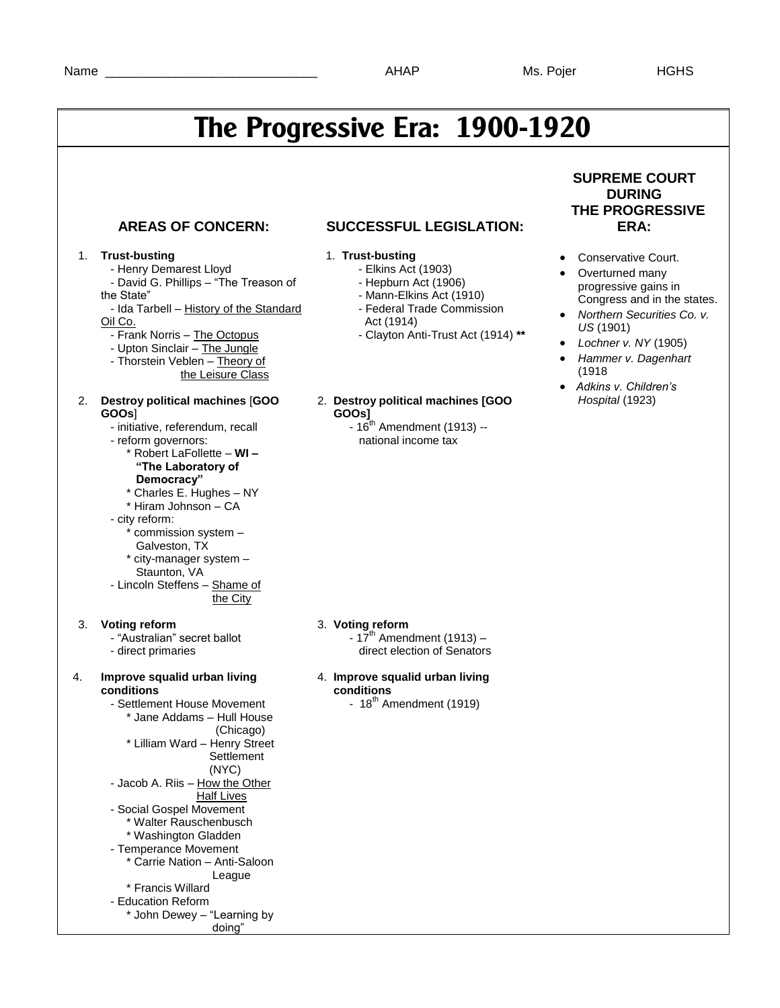# **The Progressive Era: 1900-1920**

### 1. **Trust-busting**

- Henry Demarest Lloyd
- David G. Phillips "The Treason of the State"
- Ida Tarbell History of the Standard Oil Co.
	- Frank Norris The Octopus
	- Upton Sinclair The Jungle
- Thorstein Veblen Theory of
	- the Leisure Class

### 2. **Destroy political machines** [**GOO GOOs**]

- initiative, referendum, recall
- reform governors: \* Robert LaFollette – **WI –**
	- **"The Laboratory of**

### **Democracy"**

- \* Charles E. Hughes NY \* Hiram Johnson – CA
- city reform:
	- \* commission system –
	- Galveston, TX
- \* city-manager system Staunton, VA
- Lincoln Steffens Shame of the City

### 3. **Voting reform**

- "Australian" secret ballot - direct primaries
- 

### 4. **Improve squalid urban living conditions**

 - Settlement House Movement \* Jane Addams – Hull House (Chicago) \* Lilliam Ward – Henry Street **Settlement**  (NYC) - Jacob A. Riis – How the Other Half Lives - Social Gospel Movement \* Walter Rauschenbusch \* Washington Gladden - Temperance Movement \* Carrie Nation – Anti-Saloon League \* Francis Willard - Education Reform \* John Dewey – "Learning by doing"

### **AREAS OF CONCERN: SUCCESSFUL LEGISLATION:**

### 1. **Trust-busting**

- Elkins Act (1903)
- Hepburn Act (1906)
- Mann-Elkins Act (1910)
- Federal Trade Commission
- Act (1914)
- Clayton Anti-Trust Act (1914) **\*\***

### 2. **Destroy political machines [GOO GOOs]**

 $-16^{th}$  Amendment (1913)  $$ national income tax

### **SUPREME COURT DURING THE PROGRESSIVE ERA:**

- Conservative Court.
- Overturned many progressive gains in Congress and in the states.
- *Northern Securities Co. v. US* (1901)
- *Lochner v. NY* (1905)
- *Hammer v. Dagenhart*  (1918
- *Adkins v. Children's Hospital* (1923)

### 3. **Voting reform**

- $-17^{th}$  Amendment (1913) direct election of Senators
- 4. **Improve squalid urban living conditions**
	- $18<sup>th</sup>$  Amendment (1919)